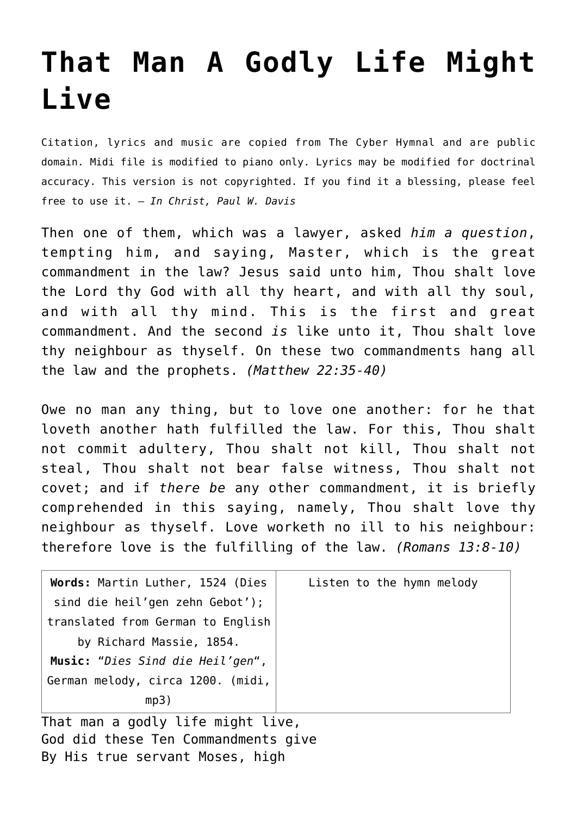## **[That Man A Godly Life Might](http://reproachofmen.org/hymns-and-music/that-man-a-godly-life-might-live/) [Live](http://reproachofmen.org/hymns-and-music/that-man-a-godly-life-might-live/)**

Citation, lyrics and music are copied from [The Cyber Hymnal](http://www.hymntime.com/tch/index.htm) and are public domain. Midi file is modified to piano only. Lyrics may be modified for doctrinal accuracy. This version is not copyrighted. If you find it a blessing, please feel free to use it. — *In Christ, Paul W. Davis*

Then one of them, which was a lawyer, asked *him a question*, tempting him, and saying, Master, which is the great commandment in the law? Jesus said unto him, Thou shalt love the Lord thy God with all thy heart, and with all thy soul, and with all thy mind. This is the first and great commandment. And the second *is* like unto it, Thou shalt love thy neighbour as thyself. On these two commandments hang all the law and the prophets. *(Matthew 22:35-40)*

Owe no man any thing, but to love one another: for he that loveth another hath fulfilled the law. For this, Thou shalt not commit adultery, Thou shalt not kill, Thou shalt not steal, Thou shalt not bear false witness, Thou shalt not covet; and if *there be* any other commandment, it is briefly comprehended in this saying, namely, Thou shalt love thy neighbour as thyself. Love worketh no ill to his neighbour: therefore love is the fulfilling of the law. *(Romans 13:8-10)*

| Words: Martin Luther, 1524 (Dies  | Listen to the hymn melody |
|-----------------------------------|---------------------------|
| sind die heil'gen zehn Gebot');   |                           |
| translated from German to English |                           |
| by Richard Massie, 1854.          |                           |
| Music: "Dies Sind die Heil'gen",  |                           |
| German melody, circa 1200. (midi, |                           |
| mp3)                              |                           |

That man a godly life might live, God did these Ten Commandments give By His true servant Moses, high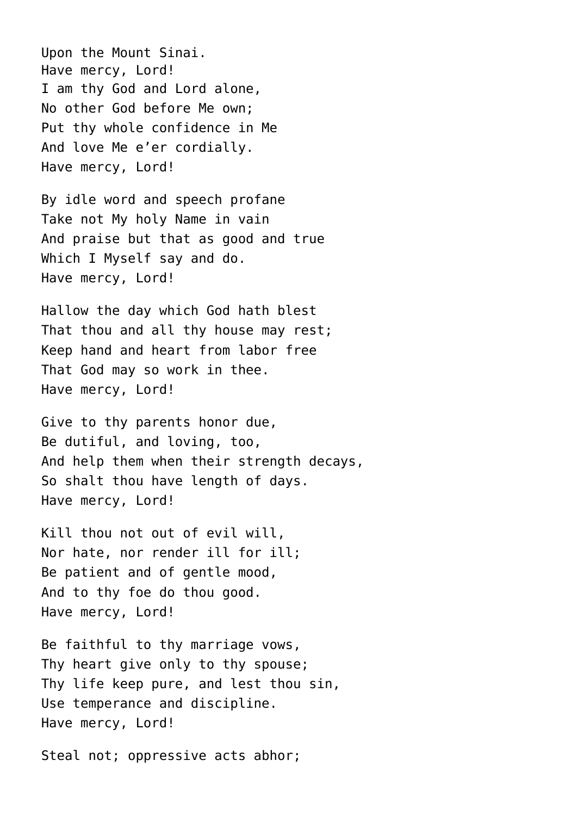Upon the Mount Sinai. Have mercy, Lord! I am thy God and Lord alone, No other God before Me own; Put thy whole confidence in Me And love Me e'er cordially. Have mercy, Lord!

By idle word and speech profane Take not My holy Name in vain And praise but that as good and true Which I Myself say and do. Have mercy, Lord!

Hallow the day which God hath blest That thou and all thy house may rest; Keep hand and heart from labor free That God may so work in thee. Have mercy, Lord!

Give to thy parents honor due, Be dutiful, and loving, too, And help them when their strength decays, So shalt thou have length of days. Have mercy, Lord!

Kill thou not out of evil will, Nor hate, nor render ill for ill; Be patient and of gentle mood, And to thy foe do thou good. Have mercy, Lord!

Be faithful to thy marriage vows, Thy heart give only to thy spouse; Thy life keep pure, and lest thou sin, Use temperance and discipline. Have mercy, Lord!

Steal not; oppressive acts abhor;